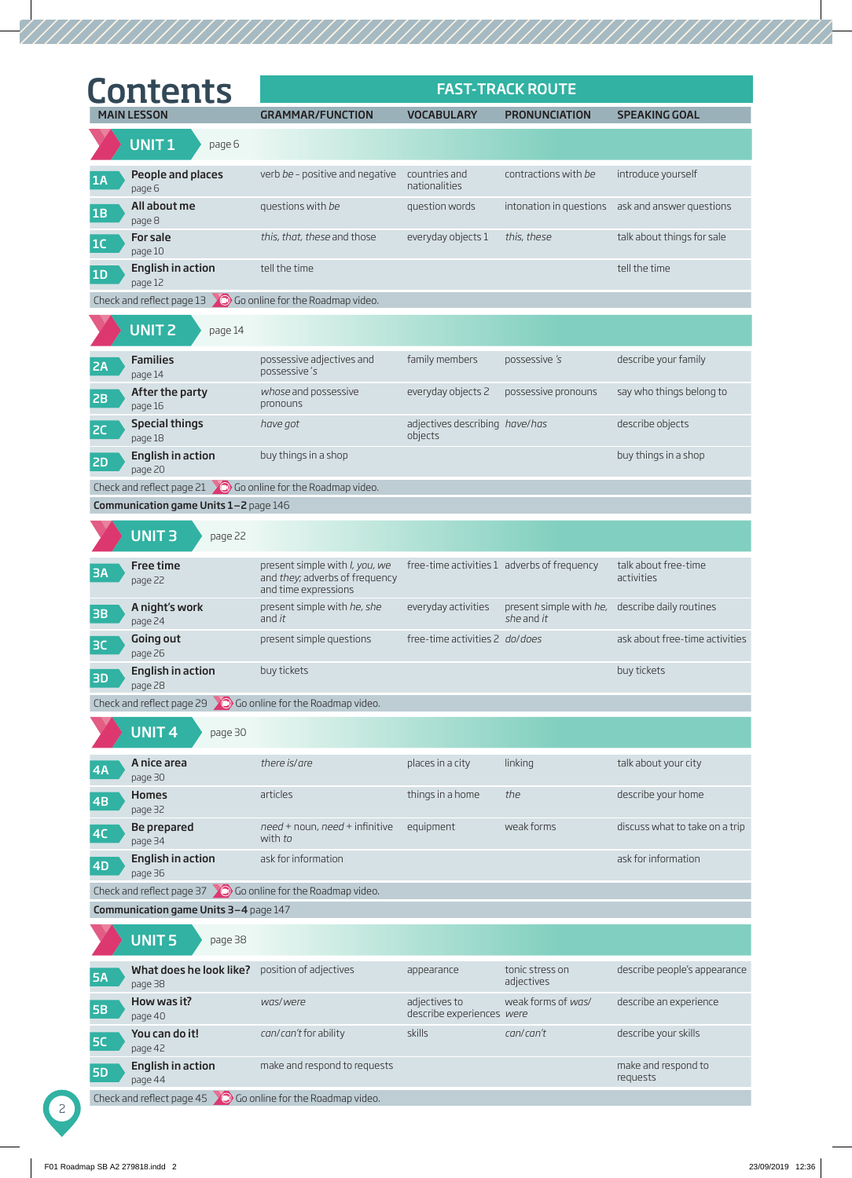| <b>Contents</b>                                                       |                                                                                                  |                                            | <b>FAST-TRACK ROUTE</b>                                       |                                                  |
|-----------------------------------------------------------------------|--------------------------------------------------------------------------------------------------|--------------------------------------------|---------------------------------------------------------------|--------------------------------------------------|
| <b>MAIN LESSON</b>                                                    | <b>GRAMMAR/FUNCTION</b>                                                                          | <b>VOCABULARY</b>                          | <b>PRONUNCIATION</b>                                          | <b>SPEAKING GOAL</b>                             |
| UNIT <sub>1</sub><br>page 6                                           |                                                                                                  |                                            |                                                               |                                                  |
| People and places<br>1A<br>page 6                                     | verb be - positive and negative countries and                                                    | nationalities                              | contractions with be                                          | introduce yourself                               |
| All about me<br>1B<br>page 8                                          | questions with be                                                                                | question words                             |                                                               | intonation in questions ask and answer questions |
| For sale<br>1C<br>page 10                                             | this, that, these and those                                                                      | everyday objects 1                         | this, these                                                   | talk about things for sale                       |
| <b>English in action</b><br>1D<br>page 12                             | tell the time                                                                                    |                                            |                                                               | tell the time                                    |
| Check and reflect page $13$ 0 Go online for the Roadmap video.        |                                                                                                  |                                            |                                                               |                                                  |
| <b>UNIT 2</b><br>page 14                                              |                                                                                                  |                                            |                                                               |                                                  |
| <b>Families</b><br><b>2A</b><br>page 14                               | possessive adjectives and<br>possessive's                                                        | family members                             | possessive 's                                                 | describe your family                             |
| After the party<br>2B<br>page 16                                      | whose and possessive<br>pronouns                                                                 | everyday objects 2                         | possessive pronouns                                           | say who things belong to                         |
| <b>Special things</b><br><b>2C</b><br>page 18                         | have got                                                                                         | adjectives describing have/has<br>objects  |                                                               | describe objects                                 |
| <b>English in action</b><br><b>2D</b><br>page 20                      | buy things in a shop                                                                             |                                            |                                                               | buy things in a shop                             |
| Check and reflect page 21 $\bigcirc$ Go online for the Roadmap video. |                                                                                                  |                                            |                                                               |                                                  |
| Communication game Units 1-2 page 146                                 |                                                                                                  |                                            |                                                               |                                                  |
| UNIT <sub>3</sub><br>page 22                                          |                                                                                                  |                                            |                                                               |                                                  |
| Free time<br><b>3A</b><br>page 22                                     | present simple with <i>I</i> , you, we<br>and they; adverbs of frequency<br>and time expressions |                                            | free-time activities 1 adverbs of frequency                   | talk about free-time<br>activities               |
| A night's work<br>3B<br>page 24                                       | present simple with he, she<br>and it                                                            | everyday activities                        | present simple with he, describe daily routines<br>she and it |                                                  |
| Going out<br><b>BC</b><br>page 26                                     | present simple questions                                                                         | free-time activities 2 do/does             |                                                               | ask about free-time activities                   |
| <b>English in action</b><br><b>3D</b><br>page 28                      | buy tickets                                                                                      |                                            |                                                               | buy tickets                                      |
| Check and reflect page 29 $\bigcirc$ Go online for the Roadmap video. |                                                                                                  |                                            |                                                               |                                                  |
| <b>UNIT4</b><br>page 30                                               |                                                                                                  |                                            |                                                               |                                                  |
| A nice area<br>4A<br>page 30                                          | there is/are                                                                                     | places in a city                           | linking                                                       | talk about your city                             |
| Homes<br>4B<br>page 32                                                | articles                                                                                         | things in a home                           | the                                                           | describe your home                               |
| Be prepared<br>4C<br>page 34                                          | need + noun, need + infinitive equipment<br>with to                                              |                                            | weak forms                                                    | discuss what to take on a trip                   |
| <b>English in action</b><br><b>4D</b><br>page 36                      | ask for information                                                                              |                                            |                                                               | ask for information                              |
| Check and reflect page 37 $\degree$ Go online for the Roadmap video.  |                                                                                                  |                                            |                                                               |                                                  |
| Communication game Units 3-4 page 147                                 |                                                                                                  |                                            |                                                               |                                                  |
| <b>UNIT5</b><br>page 38                                               |                                                                                                  |                                            |                                                               |                                                  |
| What does he look like?<br><b>5A</b><br>page 38                       | position of adjectives                                                                           | appearance                                 | tonic stress on<br>adjectives                                 | describe people's appearance                     |
| How was it?<br><b>5B</b><br>page 40                                   | was/were                                                                                         | adjectives to<br>describe experiences were | weak forms of was/                                            | describe an experience                           |
| You can do it!<br><b>5C</b><br>page 42                                | can/can't for ability                                                                            | skills                                     | can/can't                                                     | describe your skills                             |
| <b>English in action</b><br><b>5D</b><br>page 44                      | make and respond to requests                                                                     |                                            |                                                               | make and respond to<br>requests                  |
| Check and reflect page 45 $\bigcirc$ Go online for the Roadmap video. |                                                                                                  |                                            |                                                               |                                                  |

2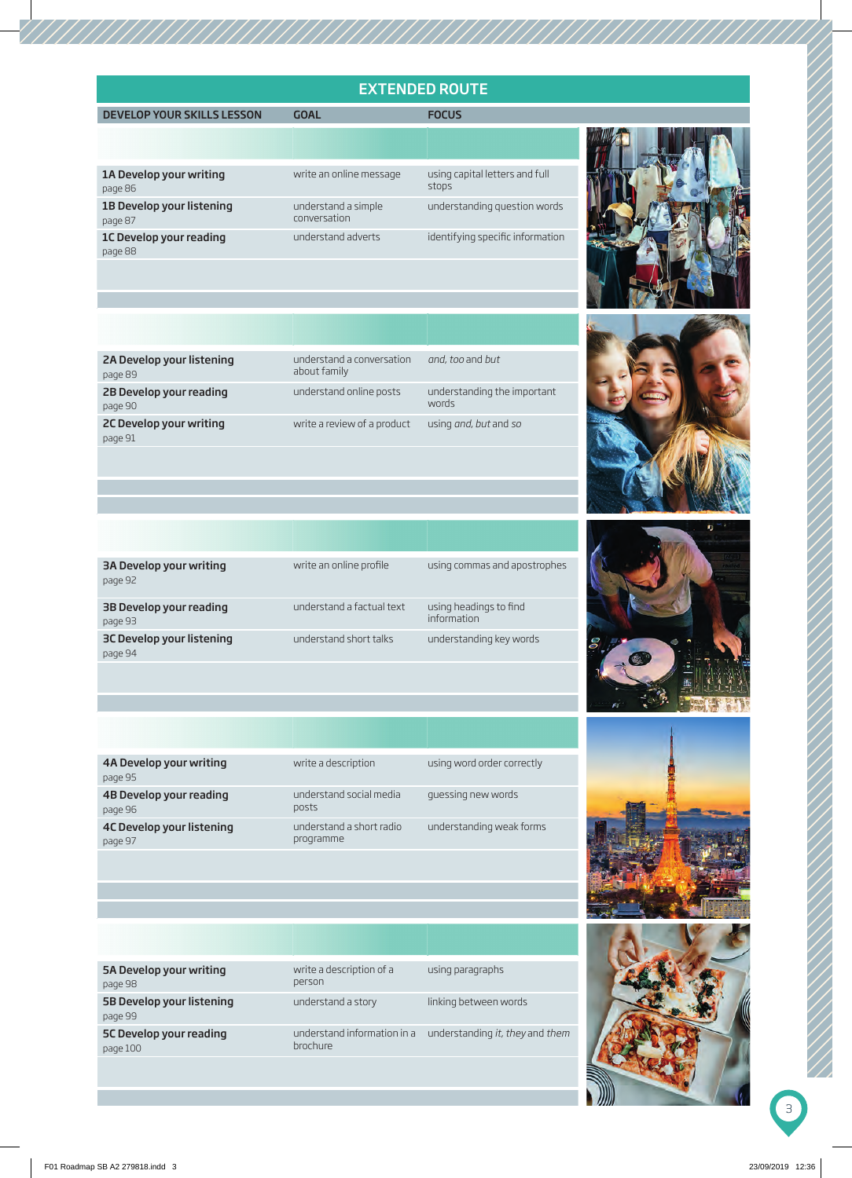## EXTENDED ROUTE

## MAIN LESSON GOAL FOCUS





| write a description<br>4A Develop your writing<br>using word order correctly<br>page 95      |
|----------------------------------------------------------------------------------------------|
| understand social media<br>guessing new words<br>4B Develop your reading<br>posts<br>page 96 |
| 4C Develop your listening<br>understand a short radio<br>understanding weak forms            |



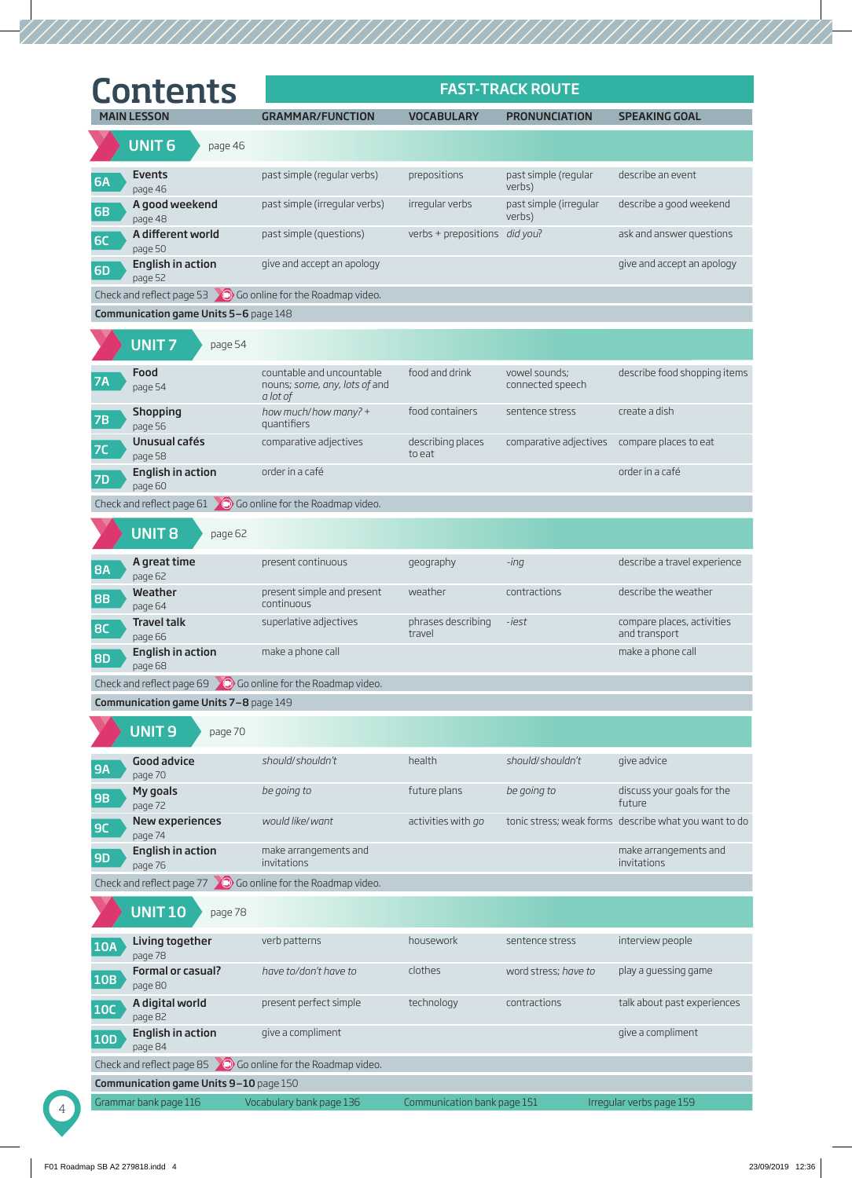| <b>Contents</b>                                  |                                                                        |                               | <b>FAST-TRACK ROUTE</b>                      |                                                       |
|--------------------------------------------------|------------------------------------------------------------------------|-------------------------------|----------------------------------------------|-------------------------------------------------------|
| <b>MAIN LESSON</b>                               | <b>GRAMMAR/FUNCTION</b>                                                | <b>VOCABULARY</b>             | <b>PRONUNCIATION</b>                         | <b>SPEAKING GOAL</b>                                  |
| <b>UNIT 6</b>                                    | page 46                                                                |                               |                                              |                                                       |
| Events<br><b>6A</b><br>page 46                   | past simple (regular verbs)                                            | prepositions                  | past simple (regular<br>verbs)               | describe an event                                     |
| A good weekend<br><b>6B</b><br>page 48           | past simple (irregular verbs)                                          | irregular verbs               | past simple (irregular<br>verbs)             | describe a good weekend                               |
| A different world<br><b>6C</b><br>page 50        | past simple (questions)                                                | verbs + prepositions did you? |                                              | ask and answer questions                              |
| English in action<br><b>6D</b><br>page 52        | give and accept an apology                                             |                               |                                              | give and accept an apology                            |
|                                                  | Check and reflect page 53 $\degree$ Go online for the Roadmap video.   |                               |                                              |                                                       |
| Communication game Units 5-6 page 148            |                                                                        |                               |                                              |                                                       |
| <b>UNIT7</b>                                     | page 54                                                                |                               |                                              |                                                       |
| Food<br><b>7A</b><br>page 54                     | countable and uncountable<br>nouns; some, any, lots of and<br>a lot of | food and drink                | vowel sounds;<br>connected speech            | describe food shopping items                          |
| Shopping<br>7B<br>page 56                        | how much/how many? +<br>quantifiers                                    | food containers               | sentence stress                              | create a dish                                         |
| Unusual cafés<br>7C<br>page 58                   | comparative adjectives                                                 | describing places<br>to eat   | comparative adjectives compare places to eat |                                                       |
| English in action<br><b>7D</b><br>page 60        | order in a café                                                        |                               |                                              | order in a café                                       |
|                                                  | Check and reflect page $61$ $\bullet$ Go online for the Roadmap video. |                               |                                              |                                                       |
| <b>UNIT 8</b>                                    | page 62                                                                |                               |                                              |                                                       |
| A great time<br><b>8A</b><br>page 62             | present continuous                                                     | geography                     | -ing                                         | describe a travel experience                          |
| Weather<br><b>8B</b><br>page 64                  | present simple and present<br>continuous                               | weather                       | contractions                                 | describe the weather                                  |
| <b>Travel talk</b><br>8C<br>page 66              | superlative adjectives                                                 | phrases describing<br>travel  | -iest                                        | compare places, activities<br>and transport           |
| <b>English in action</b><br><b>8D</b><br>page 68 | make a phone call                                                      |                               |                                              | make a phone call                                     |
|                                                  | Check and reflect page $69$ O Go online for the Roadmap video.         |                               |                                              |                                                       |
| Communication game Units 7-8 page 149            |                                                                        |                               |                                              |                                                       |
| <b>UNIT9</b>                                     | page 70                                                                |                               |                                              |                                                       |
| <b>Good advice</b><br><b>9A</b><br>page 70       | should/shouldn't                                                       | health                        | should/shouldn't                             | give advice                                           |
| My goals<br><b>9B</b><br>page 72                 | be going to                                                            | future plans                  | be going to                                  | discuss your goals for the<br>future                  |
| New experiences<br>9C<br>page 74                 | would like/want                                                        | activities with go            |                                              | tonic stress; weak forms describe what you want to do |
| English in action<br><b>9D</b><br>page 76        | make arrangements and<br>invitations                                   |                               |                                              | make arrangements and<br>invitations                  |
|                                                  | Check and reflect page 77 $\bigcirc$ Go online for the Roadmap video.  |                               |                                              |                                                       |
| <b>UNIT 10</b>                                   | page 78                                                                |                               |                                              |                                                       |
| Living together<br><b>10A</b><br>page 78         | verb patterns                                                          | housework                     | sentence stress                              | interview people                                      |
| Formal or casual?<br><b>10B</b><br>page 80       | have to/don't have to                                                  | clothes                       | word stress; have to                         | play a guessing game                                  |
| A digital world<br><b>10C</b><br>page 82         | present perfect simple                                                 | technology                    | contractions                                 | talk about past experiences                           |
| English in action<br><b>10D</b><br>page 84       | give a compliment                                                      |                               |                                              | give a compliment                                     |
|                                                  | Check and reflect page 85 $\bigcirc$ Go online for the Roadmap video.  |                               |                                              |                                                       |
| Communication game Units 9-10 page 150           |                                                                        |                               |                                              |                                                       |
| Grammar bank page 116                            | Vocabulary bank page 136                                               | Communication bank page 151   |                                              | Irregular verbs page 159                              |

4